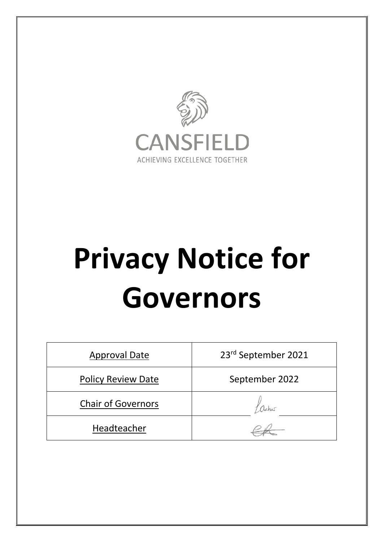

# **Privacy Notice for Governors**

| <b>Approval Date</b>      | 23rd September 2021 |
|---------------------------|---------------------|
| <b>Policy Review Date</b> | September 2022      |
| <b>Chair of Governors</b> |                     |
| Headteacher               |                     |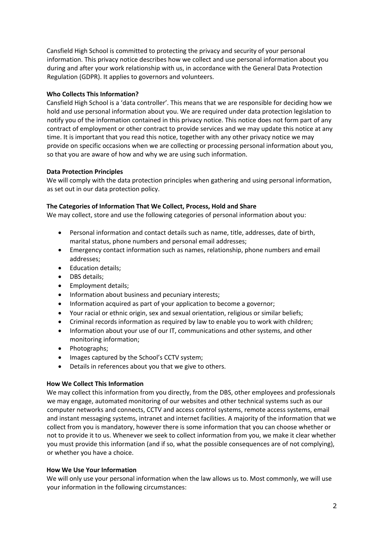Cansfield High School is committed to protecting the privacy and security of your personal information. This privacy notice describes how we collect and use personal information about you during and after your work relationship with us, in accordance with the General Data Protection Regulation (GDPR). It applies to governors and volunteers.

# **Who Collects This Information?**

Cansfield High School is a 'data controller'. This means that we are responsible for deciding how we hold and use personal information about you. We are required under data protection legislation to notify you of the information contained in this privacy notice. This notice does not form part of any contract of employment or other contract to provide services and we may update this notice at any time. It is important that you read this notice, together with any other privacy notice we may provide on specific occasions when we are collecting or processing personal information about you, so that you are aware of how and why we are using such information.

# **Data Protection Principles**

We will comply with the data protection principles when gathering and using personal information, as set out in our data protection policy.

# **The Categories of Information That We Collect, Process, Hold and Share**

We may collect, store and use the following categories of personal information about you:

- Personal information and contact details such as name, title, addresses, date of birth, marital status, phone numbers and personal email addresses;
- Emergency contact information such as names, relationship, phone numbers and email addresses;
- Education details;
- DBS details;
- Employment details;
- Information about business and pecuniary interests;
- Information acquired as part of your application to become a governor;
- Your racial or ethnic origin, sex and sexual orientation, religious or similar beliefs;
- Criminal records information as required by law to enable you to work with children;
- Information about your use of our IT, communications and other systems, and other monitoring information;
- Photographs;
- Images captured by the School's CCTV system;
- Details in references about you that we give to others.

### **How We Collect This Information**

We may collect this information from you directly, from the DBS, other employees and professionals we may engage, automated monitoring of our websites and other technical systems such as our computer networks and connects, CCTV and access control systems, remote access systems, email and instant messaging systems, intranet and internet facilities. A majority of the information that we collect from you is mandatory, however there is some information that you can choose whether or not to provide it to us. Whenever we seek to collect information from you, we make it clear whether you must provide this information (and if so, what the possible consequences are of not complying), or whether you have a choice.

### **How We Use Your Information**

We will only use your personal information when the law allows us to. Most commonly, we will use your information in the following circumstances: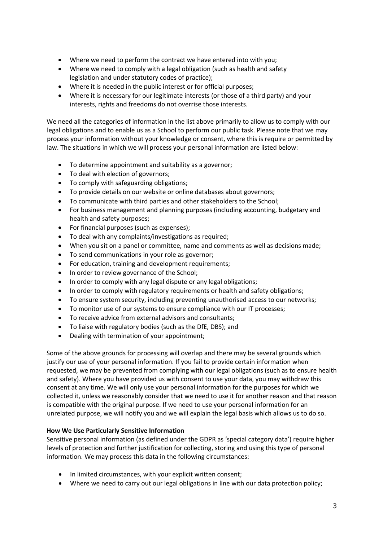- Where we need to perform the contract we have entered into with you;
- Where we need to comply with a legal obligation (such as health and safety legislation and under statutory codes of practice);
- Where it is needed in the public interest or for official purposes;
- Where it is necessary for our legitimate interests (or those of a third party) and your interests, rights and freedoms do not overrise those interests.

We need all the categories of information in the list above primarily to allow us to comply with our legal obligations and to enable us as a School to perform our public task. Please note that we may process your information without your knowledge or consent, where this is require or permitted by law. The situations in which we will process your personal information are listed below:

- To determine appointment and suitability as a governor;
- To deal with election of governors;
- To comply with safeguarding obligations;
- To provide details on our website or online databases about governors;
- To communicate with third parties and other stakeholders to the School;
- For business management and planning purposes (including accounting, budgetary and health and safety purposes;
- For financial purposes (such as expenses);
- To deal with any complaints/investigations as required;
- When you sit on a panel or committee, name and comments as well as decisions made;
- To send communications in your role as governor;
- For education, training and development requirements;
- In order to review governance of the School;
- In order to comply with any legal dispute or any legal obligations;
- In order to comply with regulatory requirements or health and safety obligations;
- To ensure system security, including preventing unauthorised access to our networks;
- To monitor use of our systems to ensure compliance with our IT processes;
- To receive advice from external advisors and consultants;
- To liaise with regulatory bodies (such as the DfE, DBS); and
- Dealing with termination of your appointment;

Some of the above grounds for processing will overlap and there may be several grounds which justify our use of your personal information. If you fail to provide certain information when requested, we may be prevented from complying with our legal obligations (such as to ensure health and safety). Where you have provided us with consent to use your data, you may withdraw this consent at any time. We will only use your personal information for the purposes for which we collected it, unless we reasonably consider that we need to use it for another reason and that reason is compatible with the original purpose. If we need to use your personal information for an unrelated purpose, we will notify you and we will explain the legal basis which allows us to do so.

# **How We Use Particularly Sensitive Information**

Sensitive personal information (as defined under the GDPR as 'special category data') require higher levels of protection and further justification for collecting, storing and using this type of personal information. We may process this data in the following circumstances:

- In limited circumstances, with your explicit written consent;
- Where we need to carry out our legal obligations in line with our data protection policy;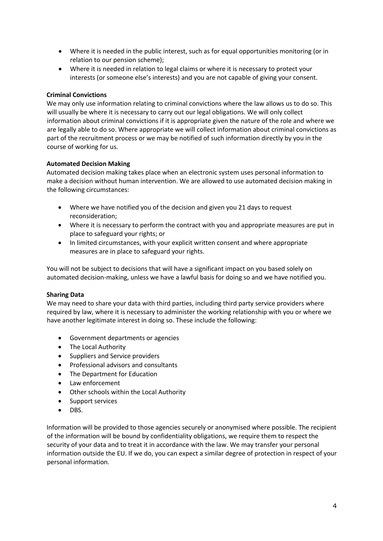- Where it is needed in the public interest, such as for equal opportunities monitoring (or in relation to our pension scheme);
- Where it is needed in relation to legal claims or where it is necessary to protect your interests (or someone else's interests) and you are not capable of giving your consent.

# **Criminal Convictions**

We may only use information relating to criminal convictions where the law allows us to do so. This will usually be where it is necessary to carry out our legal obligations. We will only collect information about criminal convictions if it is appropriate given the nature of the role and where we are legally able to do so. Where appropriate we will collect information about criminal convictions as part of the recruitment process or we may be notified of such information directly by you in the course of working for us.

# **Automated Decision Making**

Automated decision making takes place when an electronic system uses personal information to make a decision without human intervention. We are allowed to use automated decision making in the following circumstances:

- Where we have notified you of the decision and given you 21 days to request reconsideration;
- Where it is necessary to perform the contract with you and appropriate measures are put in place to safeguard your rights; or
- In limited circumstances, with your explicit written consent and where appropriate measures are in place to safeguard your rights.

You will not be subject to decisions that will have a significant impact on you based solely on automated decision-making, unless we have a lawful basis for doing so and we have notified you.

### **Sharing Data**

We may need to share your data with third parties, including third party service providers where required by law, where it is necessary to administer the working relationship with you or where we have another legitimate interest in doing so. These include the following:

- Government departments or agencies
- The Local Authority
- Suppliers and Service providers
- Professional advisors and consultants
- The Department for Education
- Law enforcement
- Other schools within the Local Authority
- Support services
- DBS.

Information will be provided to those agencies securely or anonymised where possible. The recipient of the information will be bound by confidentiality obligations, we require them to respect the security of your data and to treat it in accordance with the law. We may transfer your personal information outside the EU. If we do, you can expect a similar degree of protection in respect of your personal information.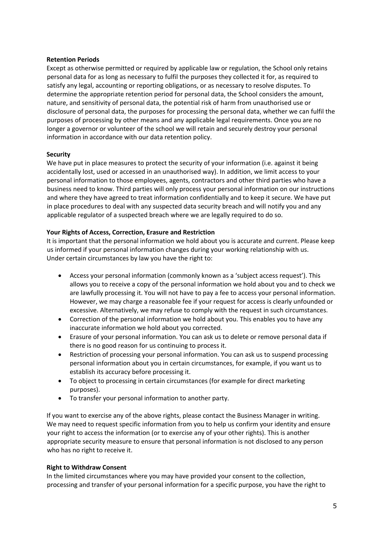### **Retention Periods**

Except as otherwise permitted or required by applicable law or regulation, the School only retains personal data for as long as necessary to fulfil the purposes they collected it for, as required to satisfy any legal, accounting or reporting obligations, or as necessary to resolve disputes. To determine the appropriate retention period for personal data, the School considers the amount, nature, and sensitivity of personal data, the potential risk of harm from unauthorised use or disclosure of personal data, the purposes for processing the personal data, whether we can fulfil the purposes of processing by other means and any applicable legal requirements. Once you are no longer a governor or volunteer of the school we will retain and securely destroy your personal information in accordance with our data retention policy.

# **Security**

We have put in place measures to protect the security of your information (i.e. against it being accidentally lost, used or accessed in an unauthorised way). In addition, we limit access to your personal information to those employees, agents, contractors and other third parties who have a business need to know. Third parties will only process your personal information on our instructions and where they have agreed to treat information confidentially and to keep it secure. We have put in place procedures to deal with any suspected data security breach and will notify you and any applicable regulator of a suspected breach where we are legally required to do so.

# **Your Rights of Access, Correction, Erasure and Restriction**

It is important that the personal information we hold about you is accurate and current. Please keep us informed if your personal information changes during your working relationship with us. Under certain circumstances by law you have the right to:

- Access your personal information (commonly known as a 'subject access request'). This allows you to receive a copy of the personal information we hold about you and to check we are lawfully processing it. You will not have to pay a fee to access your personal information. However, we may charge a reasonable fee if your request for access is clearly unfounded or excessive. Alternatively, we may refuse to comply with the request in such circumstances.
- Correction of the personal information we hold about you. This enables you to have any inaccurate information we hold about you corrected.
- Erasure of your personal information. You can ask us to delete or remove personal data if there is no good reason for us continuing to process it.
- Restriction of processing your personal information. You can ask us to suspend processing personal information about you in certain circumstances, for example, if you want us to establish its accuracy before processing it.
- To object to processing in certain circumstances (for example for direct marketing purposes).
- To transfer your personal information to another party.

If you want to exercise any of the above rights, please contact the Business Manager in writing. We may need to request specific information from you to help us confirm your identity and ensure your right to access the information (or to exercise any of your other rights). This is another appropriate security measure to ensure that personal information is not disclosed to any person who has no right to receive it.

### **Right to Withdraw Consent**

In the limited circumstances where you may have provided your consent to the collection, processing and transfer of your personal information for a specific purpose, you have the right to